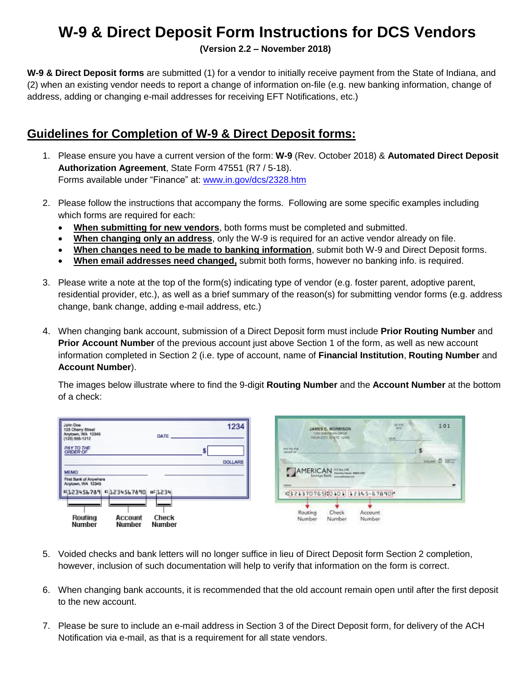## **W-9 & Direct Deposit Form Instructions for DCS Vendors**

**(Version 2.2 – November 2018)**

**W-9 & Direct Deposit forms** are submitted (1) for a vendor to initially receive payment from the State of Indiana, and (2) when an existing vendor needs to report a change of information on-file (e.g. new banking information, change of address, adding or changing e-mail addresses for receiving EFT Notifications, etc.)

## **Guidelines for Completion of W-9 & Direct Deposit forms:**

- 1. Please ensure you have a current version of the form: **W-9** (Rev. October 2018) & **Automated Direct Deposit Authorization Agreement**, State Form 47551 (R7 / 5-18). Forms available under "Finance" at: [www.in.gov/dcs/2328.htm](http://www.in.gov/dcs/2328.htm)
- 2. Please follow the instructions that accompany the forms. Following are some specific examples including which forms are required for each:
	- **When submitting for new vendors**, both forms must be completed and submitted.
	- **When changing only an address**, only the W-9 is required for an active vendor already on file.
	- **When changes need to be made to banking information**, submit both W-9 and Direct Deposit forms.
	- **When email addresses need changed,** submit both forms, however no banking info. is required.
- 3. Please write a note at the top of the form(s) indicating type of vendor (e.g. foster parent, adoptive parent, residential provider, etc.), as well as a brief summary of the reason(s) for submitting vendor forms (e.g. address change, bank change, adding e-mail address, etc.)
- 4. When changing bank account, submission of a Direct Deposit form must include **Prior Routing Number** and **Prior Account Number** of the previous account just above Section 1 of the form, as well as new account information completed in Section 2 (i.e. type of account, name of **Financial Institution**, **Routing Number** and **Account Number**).

The images below illustrate where to find the 9-digit **Routing Number** and the **Account Number** at the bottom of a check:



- 5. Voided checks and bank letters will no longer suffice in lieu of Direct Deposit form Section 2 completion, however, inclusion of such documentation will help to verify that information on the form is correct.
- 6. When changing bank accounts, it is recommended that the old account remain open until after the first deposit to the new account.
- 7. Please be sure to include an e-mail address in Section 3 of the Direct Deposit form, for delivery of the ACH Notification via e-mail, as that is a requirement for all state vendors.